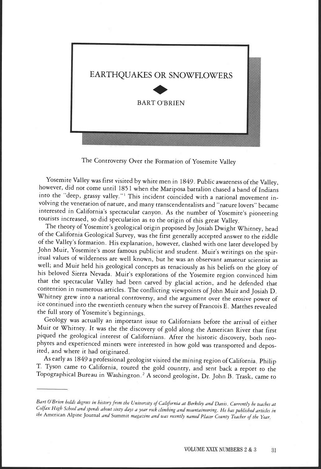

The Controversy Over the Formation of Yosemite Valley

Yosemite Valley was first visited by white men in 1849. Public awareness of the Valley, however, did not come until 1851 when the Mariposa battalion chased a band of Indians into the "deep, grassy valley."<sup>1</sup> This incident coincided with a national movement involving the veneration of nature, and many transcendentalists and "nature lovers" became interested in California's spectacular canyon. As the number of Yosemite's pioneering tourists increased, so did speculation as to the origin of this great Valley.

The theory of Yosemite's geological origin proposed by Josiah Dwight Whitney, head of the California Geological Survey, was the first generally accepted answer to the riddle of the Valley's formation. His explanation, however, clashed with one later developed by John Muir, Yosemite's most famous publicist and student. Muir's writings on the spiritual values of wilderness are well known, but he was an observant amateur scientist as well; and Muir held his geological concepts as tenaciously as his beliefs on the glory of his beloved Sierra Nevada. Muir's explorations of the Yosemite region convinced him that the spectacular Valley had been carved by glacial action, and he defended that contention in numerous articles. The conflicting viewpoints of John Muir and Josiah D. Whitney grew into a national controversy, and the argument over the erosive power of ice continued into the twentieth century when the survey of Francois E. Matthes revealed the full story of Yosemite's beginnings.

Geology was actually an important issue to Californians before the arrival of either Muir or Whitney. It was the the discovery of gold along the American River that first piqued the geological interest of Californians. After the historic discovery, both neophytes and experienced miners were interested in how gold was transported and deposited, and where it had originated.<br>As early as 1849 a professional geologist visited the mining region of California. Philip

T. Tyson came to California, toured the gold country, and sent back a report to the Topographical Bureau in Washington.2 A second geologist, Dr. John B. Trask, came to

Bart O'Brien holds degrees in history from the University of California at Berkeley and Davis Currently he teaches at Co/fax High School and spends about sixty days a year rock climbing and mountaineering. He has published articles in the American Alpine Journal and Summit magazine and was recently named Placer County Teacher of the Year,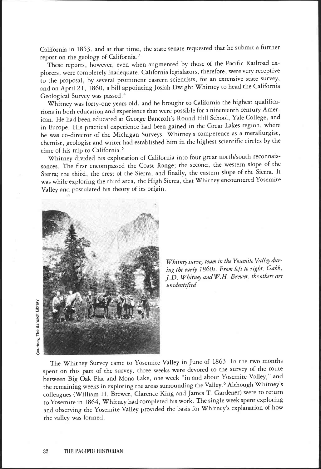California in 1853, and at that time, the state senate requested that he submit a further report on the geology of California.<sup>3</sup>

These reports, however, even when augmented by those of the Pacific Railroad explorers, were completely inadequate. California legislators, therefore, were very receptive to the proposal, by several prominent eastern scientists, for an extensive state survey, and on April 21, 1860, a bill appointing Josiah Dwight Whitney to head the California Geological Survey was passed.4

Whitney was forty-one years old, and he brought to California the highest qualifications in both education and experience that were possible for a nineteenth century American. He had been educated at George Bancroft's Round Hill School, Yale College, and in Europe. His practical experience had been gained in the Great Lakes region, where he was co-director of the Michigan Surveys. Whitney's competence as a metallurgist, chemist, geologist and writer had established him in the highest scientific circles by the time of his trip to California.<sup>5</sup>

Whitney divided his exploration of California into four great north/south reconnaissances. The first encompassed the Coast Range; the second, the western slope of the Sierra; the third, the crest of the Sierra, and finally, the eastern slope of the Sierra. It was while exploring the third area, the High Sierra, that Whitney encountered Yosemite Valley and postulated his theory of its origin.



Whitney survey team in the Yosemite Valley during the early 1860s. From left to right: Gabb, J. D. Whitney and W. H. Brewer, the others are unidentified.

The Whitney Survey came to Yosemite Valley in June of 1863. In the two months spent on this part of the survey, three weeks were devoted to the survey of the route between Big Oak Flat and Mono Lake, one week "in and about Yosemite Valley," and the remaining weeks in exploring the areas surrounding the Valley.6 Although Whitney's colleagues (William H. Brewer, Clarence King and James T. Gardener) were to return to Yosemite in 1864, Whitney had completed his work. The single week spent exploring and observing the Yosemite Valley provided the basis for Whitney's explanation of how the valley was formed.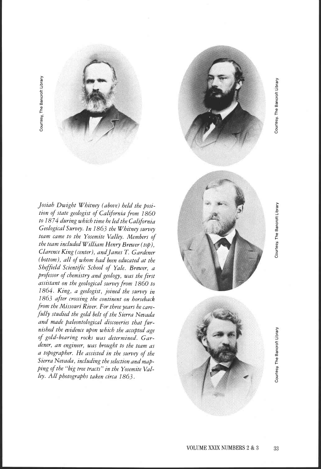



Courtesy, The Bancroft Library

Courtesy, The Bancroft Library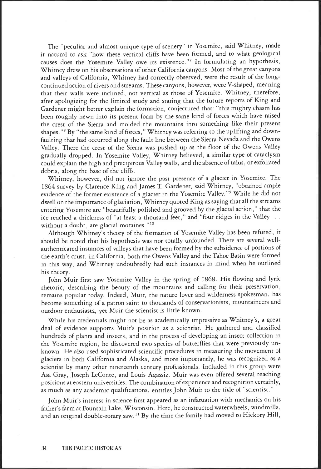The "peculiar and almost unique type of scenery" in Yosemite, said Whitney, made it natural to ask "how these vertical cliffs have been formed, and to what geological causes does the Yosemite Valley owe its existence."7 In formulating an hypothesis, Whitney drew on his observations of other California canyons. Most of the great canyons and valleys of California, Whitney had correctly observed, were the result of the longcontinued action of rivers and streams. These canyons, however, were V-shaped, meaning that their walls were inclined, not vertical as those of Yosemite. Whitney, therefore, after apologizing for the limited study and stating that the future reports of King and Gardener might better explain the formation, conjectured that: 'this mighty chasm has been roughly hewn into its present form by the same kind of forces which have raised the crest of the Sierra and molded the mountains into something like their present shapes."8 By "the same kind of forces," Whitney was referring to the uplifting and downfaulting that had occurred along the fault line between the Sierra Nevada and the Owens Valley. There the crest of the Sierra was pushed up as the floor of the Owens Valley gradually dropped. In Yosemite Valley, Whitney believed, a similar type of cataclysm could explain the high and precipitous Valley walls, and the absence of talus, or exfoliated debris, along the base of the cliffs.

Whitney, however, did not ignore the past presence of a glacier in Yosemite. The 1864 survey by Clarence King and James T. Gardener, said Whitney, "obtained ample evidence of the former existence of a glacier in the Yosemite Valley."9 While he did not dwell on the importance of glaciation, Whitney quoted King as saying that all the streams entering Yosemite are "beautifully polished and grooved by the glacial action," that the ice reached a thickness of "at least a thousand feet," and "four ridges in the Valley . . . without a doubt, are glacial moraines."<sup>10</sup>

Although Whitney's theory of the formation of Yosemite Valley has been refuted, it should be noted that his hypothesis was not totally unfounded. There are several wellauthenticated instances of valleys that have been formed by the subsidence of portions of the earth's crust. In California, both the Owens Valley and the Tahoe Basin were formed in this way, and Whitney undoubtedly had such instances in mind when he outlined his theory.

John Muir first saw Yosemite Valley in the spring of 1868. His flowing and lyric rhetoric, describing the beauty of the mountains and calling for their preservation, remains popular today. Indeed, Muir, the nature lover and wilderness spokesman, has become something of a patron saint to thousands of conservationists, mountaineers and outdoor enthusiasts, yet Muir the scientist is little known.

While his credentials might not be as academically impressive as Whitney's, a great deal of evidence supports Muir's position as a scientist. He gathered and classified hundreds of plants and insects, and in the process of developing an insect collection in the Yosemite region, he discovered two species of butterflies that were previously unknown. He also used sophisticated scientific procedures in measuring the movement of glaciers in both California and Alaska, and more importantly, he was recognized as a scientist by many other nineteenth century professionals. Included in this group were Asa Gray, Joseph LeConte, and Louis Agassiz. Muir was even offered several teaching positions at eastern universities. The combination of experience and recognition certainly, as much as any academic qualifications, entitles John Muir to the title of "scientist."

John Muir's interest in science first appeared as an infatuation with mechanics on his father's farm at Fountain Lake, Wisconsin. Here, he constructed waterwheels, windmills, and an original double-rotary saw.<sup>11</sup> By the time the family had moved to Hickory Hill,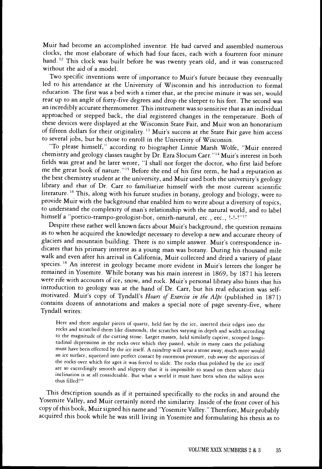Muir had become an accomplished inventor. He had carved and assembled numerous clocks, the most elaborate of which had four faces, each with a fourteen foot minute hand. 12 This clock was built before he was twenty years old, and it was constructed without the aid of a model.

Two specific inventions were of importance to Muir's future because they eventually led to his attendance at the University of Wisconsin and his introduction to formal education. The first was a bed with a timer that, at the precise minute it was set, would rear up to an angle of forty-five degrees and drop the sleeper to his feet. The second was an incredibly accurate thermometer. This instrument was so sensitive that as an individual approached or stepped back, the dial registered changes in the temperature. Both of these devices were displayed at the Wisconsin State Fair, and Muir won an honorarium of fifteen dollars for their originality.<sup>13</sup> Muir's success at the State Fair gave him access to several jobs, but he chose to enroll in the University of Wisconsin.

"To please himself," according to biographer Linnie Marsh Wolfe, "Muir entered chemistry and geology classes taught by Dr. Ezra Slocum Carr."14 Muir's interest in both fields was great and he later wrote, "I shall not forget the doctor, who first laid before me the great book of nature."1' Before the end of his first term, he had a reputation as the best chemistry student at the university, and Muir used both the university's geology library and that of Dr. Carr to familiarize himself with the most current scientific literature. 16 This, along with his future studies in botany, geology and biology, were to provide Muir with the background that enabled him to write about a diversity of topics, to understand the complexity of man's relationship with the natural world, and to label himself a "poetico-trampo-geologist-bot, ornith-natural, etc., etc., !-!-!"17

Despite these rather well known facts about Muir's background, the question remains as to when he acquired the knowledge necessary to develop a new and accurate theory of glaciers and mountain building. There is no simple answer. Muir's correspondence indicates that his primary interest as a young man was botany. During his thousand mile walk and even after his arrival in California, Muir collected and dried a variety of plant species.<sup>18</sup> An interest in geology became more evident in Muir's letters the longer he remained in Yosemite. While botany was his main interest in 1869, by 1871 his letters were rife with accounts of ice, snow, and rock. Muir's personal library also hints that his introduction to geology was at the hand of Dr. Carr, but his real education was selfmotivated. Muir's copy of Tyndall's Hours of Exercise in the Alps (published in 1871) contains dozens of annotations and makes a special note of page seventy-five, where Tyndall writes:

Here and there angular pieces of quartz, held fast by the ice, inserted their edges into the rocks and scratched them like diamonds, the scratches varying in depth and width according to the magnitude of the cutting stone. Larger masses, held similarly captive, scooped longitudinal depressions in the rocks over which they passed, while in many cases the polishing must have been effected by the ice itself. A raindrop will wear a stone away; much more would an ice surface, squeezed into perfect contact by enormous pressure, rub away the asperities of the rocks over which for ages it was forced to slide. The rocks thus polished by the ice itself are so exceedingly smooth and slippery that it is impossible to stand on them where their inclination is at all considerable. But what a world it must have been when the valleys were thus filled!<sup>19</sup>

This description sounds as if it pertained specifically to the rocks in and around the Yosemite Valley, and Muir certainly noted the similarity. Inside of the front cover of his copy of this book, Muir signed his name and "Yosemite Valley." Therefore, Muir probably acquired this book while he was still living in Yosemite and formulating his thesis as to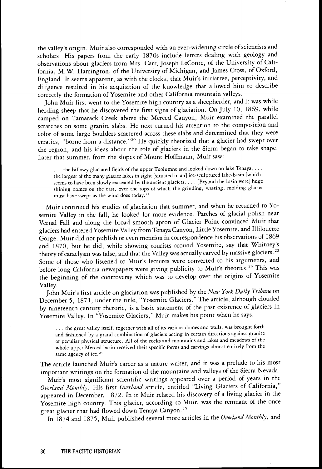the valley's origin. Muir also corresponded with an ever-widening circle of scientists and scholars. His papers from the early 1870s include letters dealing with geology and observations about glaciers from Mrs. Carr, Joseph LeConte, of the University of California, M.W. Harrington, of the University of Michigan, and James Cross, of Oxford, England. It seems apparent, as with the clocks, that Muir's initiative, perceptivity, and diligence resulted in his acquisition of the knowledge that allowed him to describe correctly the formation of Yosemite and other California mountain valleys.

John Muir first went to the Yosemite high country as a sheepherder, and it was while herding sheep that he discovered the first signs of glaciation. On July 10, 1869, while camped on Tamarack Creek above the Merced Canyon, Muir examined the parallel scratches on some granite slabs. He next turned his attention to the composition and color of some large boulders scattered across these slabs and determined that they were erratics, "borne from a distance."<sup>20</sup> He quickly theorized that a glacier had swept over the region, and his ideas about the role of glaciers in the Sierra began to take shape. Later that summer, from the slopes of Mount Hoffmann, Muir saw:

... the billowy glaciated fields of the upper Tuolumne and looked down on lake Tenaya, ... the largest of the many glacier lakes in sight [situated in an] ice-sculptured lake-basin [which] seems to have been slowly excavated by the ancient glaciers . . . [Beyond the basin werel huge shining domes on the east, over the tops of which the grinding, wasting, molding glacier must have swept as the wind does today.<sup>21</sup>

Muir continued his studies of glaciation that summer, and when he returned to Yosemite Valley in the fall, he looked for more evidence. Patches of glacial polish near Vernal Fall and along the broad smooth apron of Glacier Point convinced Muir that glaciers had entered Yosemite Valley from Tenaya Canyon, Little Yosemite, and Illilouette Gorge. Muir did not publish or even mention in correspondence his observations of 1869 and 1870, but he did, while showing tourists around Yosemite, say that Whitney's theory of cataclysm was false, and that the Valley was actually carved by massive glaciers.<sup>22</sup> Some of those who listened to Muir's lectures were converted to his arguments, and before long California newspapers were giving publicity to Muir's theories.<sup>23</sup> This was the beginning of the controversy which was to develop over the origins of Yosemite Valley.

John Muir's first article on glaciation was published by the New York Daily Tribune on December 5, 1871, under the title, "Yosemite Glaciers." The article, although clouded by nineteenth century rhetoric, is a basic statement of the past existence of glaciers in Yosemite Valley. In "Yosemite Glaciers," Muir makes his point when he says:

. . the great valley itself, together with all of its various domes and walls, was brought forth and fashioned by a grand combination of glaciers acting in certain directions against granite of peculiar physical structure. All of the rocks and mountains and lakes and meadows of the whole upper Merced basin received their specific forms and carvings almost entirely from the same agency of ice.<sup>24</sup>

The article launched Muir's career as a nature writer, and it was a prelude to his most important writings on the formation of the mountains and valleys of the Sierra Nevada.

Muir's most significant scientific writings appeared over a period of years in the Overland Monthly. His first Overland article, entitled "Living Glaciers of California," appeared in December, 1872. In it Muir related his discovery of a living glacier in the Yosemite high country. This glacier, according to Muir, was the remnant of the once great glacier that had flowed down Tenaya Canyon.<sup>25</sup>

In 1874 and 1875, Muir published several more articles in the Overland Monthly, and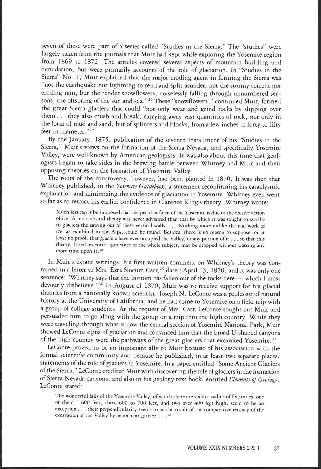seven of these were part of a series called 'Studies in the Sierra." The "studies" were largely taken from the journals that Muir had kept while exploring the Yosemite region from 1869 to 1872. The articles covered several aspects of mountain building and denudation, but were primarily accounts of the role of glaciation. In "Studies in the Sierra" No. 1, Muir explained that the major eroding agent in forming the Sierra was "not the earthquake nor lightning to rend and split asunder, not the stormy torrent nor eroding rain, but the tender snowflowers, noiselessly falling through unnumbered seasons, the offspring of the sun and sea."26 These "snowflowers," continued Muir, formed the great Sierra glaciers that could "not only wear and grind rocks by slipping over them . . . they also crush and break, carrying away vast quantities of rock, not only in the form of mud and sand, but of splinters and blocks, from a few inches to forty to fifty feet in diameter."<sup>27</sup>

By the January, 1875, publication of the seventh installment of his "Studies in the Sierra," Muir's views on the formation of the Sierra Nevada, and specifically Yosemite Valley, were well known by American geologists. It was also about this time that geologists began to take sides in the brewing battle between Whitney and Muir and their opposing theories on the formation of Yosemite Valley.

The roots of the controversy, however, had been planted in 1870. It was then that Whitney published, in the Yosemite Guidebook, a statement reconfirming his cataclysmic explanation and minimizing the evidence of glaciation in Yosemite. Whitney even went so far as to retract his earlier confidence in Clarence King's theory. Whitney wrote:

Much less can it be supposed that the peculiar form of the Yosemite is due to the erosive action of ice A more absurd theory was never advanced than that by which it was sought to ascribe to glaciers the sawing out of these vertical walls. . Nothing more unlike the real work of ice, as exhibited in the Alps, could be found. Besides, there is no reason to suppose, or at least no proof, that glaciers have ever occupied the Valley, or any portion of it sous so that this theory, based on entire ignorance of the whole subject, may be dropped without wasting any more time upon it.<sup>28</sup>

In Muir's extant writings, his first written comment on Whitney's theory was contained in a letter to Mrs. Ezra Slocum Carr,<sup>29</sup> dated April 13, 1870, and it was only one sentence: "Whitney says that the bottom has fallen out of the rocks here — which I most devoutly disbelieve."30 In August of 1870, Muir was to receive support for his glacial theories from a nationally known scientist. Joseph N. LeConte was a professor of natural history at the University of California, and he had come to Yosemite on a field trip with a group of college students. At the request of Mrs. Carr, LeConte sought out Muir and persuaded him to go along with the group on a trip into the high country. While they were traveling through what is now the central section of Yosemite National Park, Muir showed LeConte signs of glaciation and convinced him that the broad U-shaped canyons of the high country were the pathways of the great glaciers that excavated Yosemite. 31

LeConte proved to be an important ally to Muir because of his association with the formal scientific community and because he published, in at least two separate places, statements of the role of glaciers in Yosemite. In a paper entitled "Some Ancient Glaciers of the Sierra," LeConte credited Muir with discovering the role of glaciers in the formation of Sierra Nevada canyons, and also in his geology text book, entitled Elements of Geology, LeConte stated:

The wonderful falls of the Yosemite Valley, of which there are six in a radius of five miles, one of them 1,600 feet, three 600 to 700 feet, and two over 400 feet high, seem to be an exception  $\ldots$  their perpendicularity seems to be the result of the comparative recency of the excavation of the Valley by an ancient glacier.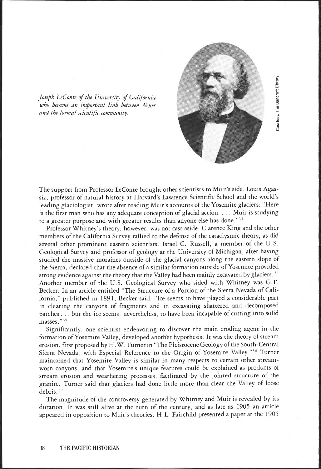

<sup>0</sup> Joseph LeConte of the University of California who became an important link between Muir and the formal scientific community.

The support from Professor LeConte brought other scientists to Muir's side. Louis Agassiz, professor of natural history at Harvard's Lawrence Scientific School and the world's leading glaciologist, wrote after reading Muir's accounts of the Yosemite glaciers: "Here is the first man who has any adequate conception of glacial action. . . . Muir is studying to a greater purpose and with greater results than anyone else has done."<sup>33</sup>

Professor Whitney's theory, however, was not cast aside. Clarence King and the other members of the California Survey rallied to the defense of the cataclysmic theory, as did several other prominent eastern scientists. Israel C. Russell, a member of the U.S. Geological Survey and professor of geology at the University of Michigan, after having studied the massive moraines outside of the glacial canyons along the eastern slope of the Sierra, declared that the absence of a similar formation outside of Yosemite provided strong evidence against the theory that the Valley had been mainly excavated by glaciers.<sup>34</sup> Another member of the U.S. Geological Survey who sided with Whitney was G.F. Becker. In an article entitled 'The Structure of a Portion of the Sierra Nevada of California," published in 1891, Becker said: 'Ice seems to have played a considerable part in clearing the canyons of fragments and in excavating shattered and decomposed patches . . . but the ice seems, nevertheless, to have been incapable of cutting into solid masses."35

Significantly, one scientist endeavoring to discover the main eroding agent in the formation of Yosemite Valley, developed another hypothesis. It was the theory of stream erosion, first proposed by H.W. Turner in "The Pleistocene Geology of the South-Central Sierra Nevada, with Especial Reference to the Origin of Yosemite Valley."36 Turner maintained that Yosemite Valley is similar in many respects to certain other streamworn canyons, and that Yosemite's unique features could be explained as products of stream erosion and weathering processes, facilitated by the jointed structure of the granite. Turner said that glaciers had done little more than clear the Valley of loose debris.<sup>37</sup>

The magnitude of the controversy generated by Whitney and Muir is revealed by its duration. It was still alive at the turn of the century, and as late as 1905 an article appeared in opposition to Muir's theories. H.L. Fairchild presented a paper at the 1905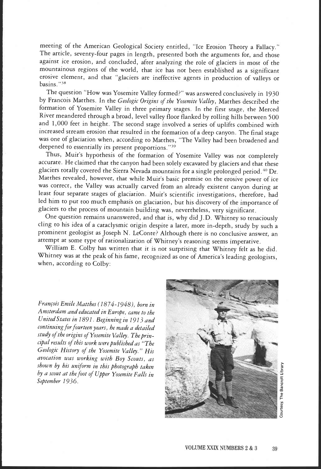meeting of the American Geological Society entitled, "Ice Erosion Theory a Fallacy." The article, seventy-four pages in length, presented both the arguments for, and those against ice erosion, and concluded, after analyzing the role of glaciers in most of the mountainous regions of the world, that ice has not been established as a significant erosive element, and that "glaciers are ineffective agents in production of valleys or basins."<sup>38</sup>

The question "How was Yosemite Valley formed?" was answered conclusively in 1930 by Francois Matthes. In the Geologic Origins of the Yosemite Valley, Matthes described the formation of Yosemite Valley in three primary stages. In the first stage, the Merced River meandered through a broad, level valley floor flanked by rolling hills between 500 and 1,000 feet in height. The second stage involved a series of uplifts combined with increased stream erosion that resulted in the formation of a deep canyon. The final stage was one of glaciation when, according to Matthes, "The Valley had been broadened and deepened to essentially its present proportions."39

Thus, Muir's hypothesis of the formation of Yosemite Valley was not completely accurate. He claimed that the canyon had been solely excavated by glaciers and that these glaciers totally covered the Sierra Nevada mountains for a single prolonged period.40 Dr. Matthes revealed, however, that while Muir's basic premise on the erosive power of ice was correct, the Valley was actually carved from an already existent canyon during at least four separate stages of glaciation. Muir's scientific investigations, therefore, had led him to put too much emphasis on glaciation, but his discovery of the importance of glaciers to the process of mountain building was, nevertheless, very significant.

One question remains unanswered, and that is, why did J.D. Whitney so tenaciously cling to his idea of a cataclysmic origin despite a later, more in-depth, study by such a prominent geologist as Joseph N. LeConte? Although there is no conclusive answer, an attempt at some type of rationalization of Whitney's reasoning seems imperative.

William E. Colby has written that it is not surprising that Whitney felt as he did. Whitney was at the peak of his fame, recognized as one of America's leading geologists, when, according to Colby:

François Emile Matthes (1874-1948), born in Amsterdam and educated in Europe, came to the United States in 1891. Beginning in 1913 and continuing for fourteen years, he made a detailed study of the origins of Yosemite Valley. The principal results of this work were published as "The Geologic History of the Yosemite Valley." His avocation was working with Boy Scouts, as shown by his uniform in this photograph taken by a scout at the foot of Upper Yosemite Falls in September 1936.

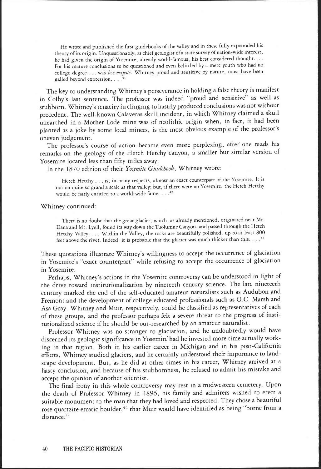He wrote and published the first guidebooks of the valley and in these fully expounded his theory of its origin. Unquestionably, as chief geologist of a state survey of nation-wide interest, he had given the origin of Yosemite, already world-famous, his best considered thought. For his mature conclusions to be questioned and even belittled by a mere youth who had no college degree . . . was lese majeste. Whitney proud and sensitive by nature, must have been galled beyond expression. . . . .<sup>41</sup>

The key to understanding Whitney's perseverance in holding a false theory is manifest in Colby's last sentence. The professor was indeed 'proud and sensitive" as well as stubborn. Whitney's tenacity in clinging to hastily produced conclusions was not without precedent. The well-known Calaveras skull incident, in which Whitney claimed a skull unearthed in a Mother Lode mine was of neolithic origin when, in fact, it had been planted as a joke by some local miners, is the most obvious example of the professor's uneven judgement.

The professor's course of action became even more perplexing, after one reads his remarks on the geology of the Hetch Hetchy canyon, a smaller but similar version of Yosemite located less than fifty miles away.

In the 1870 edition of their Yosemite Guidebook, Whitney wrote:

Hetch Hetchy . . . is, in many respects, almost an exact counterpatt of the Yosemite. It is not on quite so grand a scale as that valley; but, if there were no Yosemite, the Hetch Hetchy would be fairly entitled to a world-wide fame  $\ldots$ <sup>42</sup>

Whitney continued:

There is no doubt that the great glacier, which, as already mentioned, originated near Mt. Dana and Mt. Lyell, found its way down the Tuolumne Canyon, and passed through the Hetch Hetchy Valley, . . . Within the Valley, the tocks are beautifully polished, up to at least 800 feet above the river, Indeed, it is probable that the glacier was much thicker than this.

These quotations illustrate Whitney's willingness to accept the occurrence of glaciation in Yosemite's "exact counterpart" while refusing to accept the occurrence of glaciation in Yosemite.

Perhaps, Whitney's actions in the Yosemite controversy can be understood in light of the drive toward institutionalization by nineteeth century science. The late nineteeth century marked the end of the self-educated amateur naturalists such as Audubon and Fremont and the development of college educated professionals such as O.C. Marsh and Asa Gray. Whitney and Muir, respectively, could be classified as representatives of each of these groups, and the professor perhaps felt a severe threat to the progress of institutionalized science if he should be out-researched by an amateur naturalist.

Professor Whitney was no stranger to glaciation, and he undoubtedly would have discerned its geologic significance in Yosemite had he invested more time actually working in that region. Both in his earlier career in Michigan and in his post-California efforts, Whitney studied glaciers, and he certainly understood their importance to landscape development. But, as he did at other times in his career, Whitney arrived at a hasty conclusion, and because of his stubbornness, he refused to admit his mistake and accept the opinion of another scientist.

The final irony in this whole controversy may rest in a midwestern cemetery. Upon the death of Professor Whitney in 1896, his family and admirers wished to erect a suitable monument to the man that they had loved and respected. They chose a beautiful rose quartzite erratic boulder,<sup>44</sup> that Muir would have identified as being "borne from a distance."